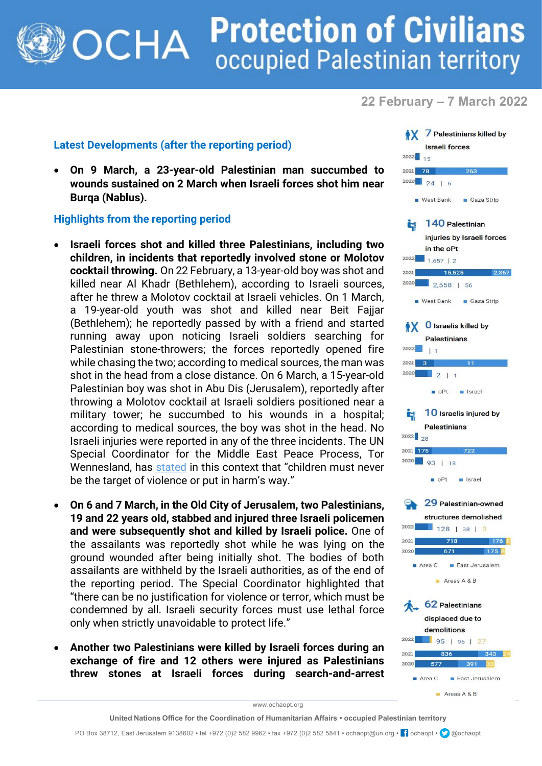## **Protection of Civilians** OCHA occupied Palestinian territory

**22 February – 7 March 2022**

## **Latest Developments (after the reporting period)**

• **On 9 March, a 23-year-old Palestinian man succumbed to wounds sustained on 2 March when Israeli forces shot him near Burqa (Nablus).**

## **Highlights from the reporting period**

- **Israeli forces shot and killed three Palestinians, including two children, in incidents that reportedly involved stone or Molotov cocktail throwing.** On 22 February, a 13-year-old boy was shot and killed near Al Khadr (Bethlehem), according to Israeli sources, after he threw a Molotov cocktail at Israeli vehicles. On 1 March, a 19-year-old youth was shot and killed near Beit Fajjar (Bethlehem); he reportedly passed by with a friend and started running away upon noticing Israeli soldiers searching for Palestinian stone-throwers; the forces reportedly opened fire while chasing the two; according to medical sources, the man was shot in the head from a close distance. On 6 March, a 15-year-old Palestinian boy was shot in Abu Dis (Jerusalem), reportedly after throwing a Molotov cocktail at Israeli soldiers positioned near a military tower; he succumbed to his wounds in a hospital; according to medical sources, the boy was shot in the head. No Israeli injuries were reported in any of the three incidents. The UN Special Coordinator for the Middle East Peace Process, Tor Wennesland, has [stated](https://unsco.unmissions.org/sites/default/files/statement_by_un_special_coordinator_wennesland_-_8_march_2022.pdf) in this context that "children must never be the target of violence or put in harm's way."
- **On 6 and 7 March, in the Old City of Jerusalem, two Palestinians, 19 and 22 years old, stabbed and injured three Israeli policemen and were subsequently shot and killed by Israeli police.** One of the assailants was reportedly shot while he was lying on the ground wounded after being initially shot. The bodies of both assailants are withheld by the Israeli authorities, as of the end of the reporting period. The Special Coordinator highlighted that "there can be no justification for violence or terror, which must be condemned by all. Israeli security forces must use lethal force only when strictly unavoidable to protect life."
- **Another two Palestinians were killed by Israeli forces during an exchange of fire and 12 others were injured as Palestinians threw stones at Israeli forces during search-and-arrest**



www.ochaopt.org

**United Nations Office for the Coordination of Humanitarian Affairs • occupied Palestinian territory**

PO Box 38712, East Jerusalem 9138602 • tel +972 (0)2 582 9962 • fax +972 (0)2 582 5841 • ochaopt@un.org • <sup>1</sup> ochaopt • **@**@ochaopt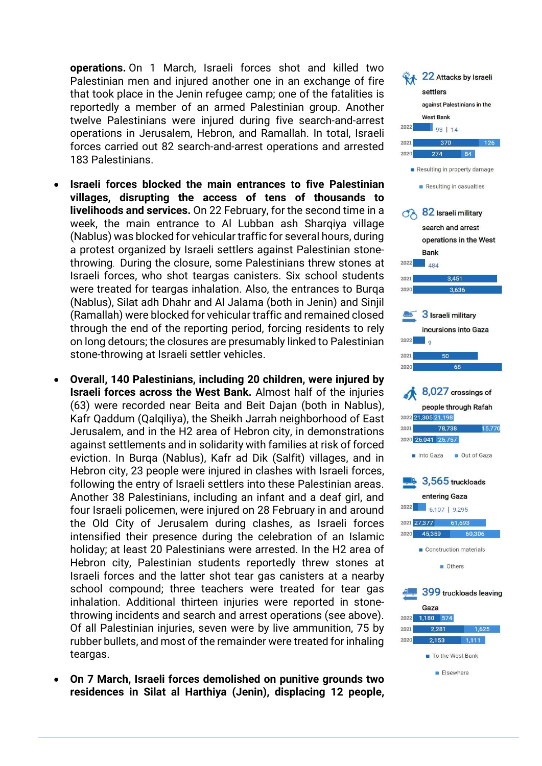**operations.** On 1 March, Israeli forces shot and killed two Palestinian men and injured another one in an exchange of fire that took place in the Jenin refugee camp; one of the fatalities is reportedly a member of an armed Palestinian group. Another twelve Palestinians were injured during five search-and-arrest operations in Jerusalem, Hebron, and Ramallah. In total, Israeli forces carried out 82 search-and-arrest operations and arrested 183 Palestinians.

- **Israeli forces blocked the main entrances to five Palestinian villages, disrupting the access of tens of thousands to livelihoods and services.** On 22 February, for the second time in a week, the main entrance to Al Lubban ash Sharqiya village (Nablus) was blocked for vehicular traffic for several hours, during a protest organized by Israeli settlers against Palestinian stonethrowing. During the closure, some Palestinians threw stones at Israeli forces, who shot teargas canisters. Six school students were treated for teargas inhalation. Also, the entrances to Burqa (Nablus), Silat adh Dhahr and Al Jalama (both in Jenin) and Sinjil (Ramallah) were blocked for vehicular traffic and remained closed through the end of the reporting period, forcing residents to rely on long detours; the closures are presumably linked to Palestinian stone-throwing at Israeli settler vehicles.
- **Overall, 140 Palestinians, including 20 children, were injured by Israeli forces across the West Bank.** Almost half of the injuries (63) were recorded near Beita and Beit Dajan (both in Nablus), Kafr Qaddum (Qalqiliya), the Sheikh Jarrah neighborhood of East Jerusalem, and in the H2 area of Hebron city, in demonstrations against settlements and in solidarity with families at risk of forced eviction. In Burqa (Nablus), Kafr ad Dik (Salfit) villages, and in Hebron city, 23 people were injured in clashes with Israeli forces, following the entry of Israeli settlers into these Palestinian areas. Another 38 Palestinians, including an infant and a deaf girl, and four Israeli policemen, were injured on 28 February in and around the Old City of Jerusalem during clashes, as Israeli forces intensified their presence during the celebration of an Islamic holiday; at least 20 Palestinians were arrested. In the H2 area of Hebron city, Palestinian students reportedly threw stones at Israeli forces and the latter shot tear gas canisters at a nearby school compound; three teachers were treated for tear gas inhalation. Additional thirteen injuries were reported in stonethrowing incidents and search and arrest operations (see above). Of all Palestinian injuries, seven were by live ammunition, 75 by rubber bullets, and most of the remainder were treated for inhaling teargas.
- **On 7 March, Israeli forces demolished on punitive grounds two residences in Silat al Harthiya (Jenin), displacing 12 people,**

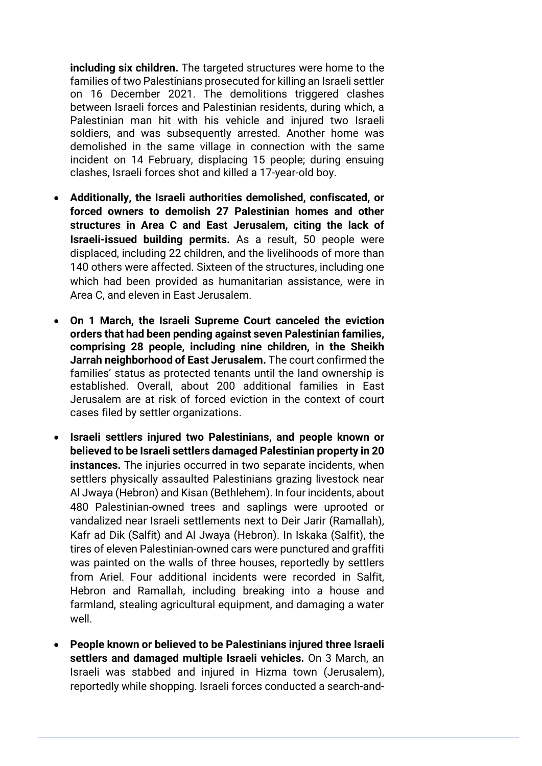**including six children.** The targeted structures were home to the families of two Palestinians prosecuted for killing an Israeli settler on 16 December 2021. The demolitions triggered clashes between Israeli forces and Palestinian residents, during which, a Palestinian man hit with his vehicle and injured two Israeli soldiers, and was subsequently arrested. Another home was demolished in the same village in connection with the same incident on 14 February, displacing 15 people; during ensuing clashes, Israeli forces shot and killed a 17-year-old boy.

- **Additionally, the Israeli authorities demolished, confiscated, or forced owners to demolish 27 Palestinian homes and other structures in Area C and East Jerusalem, citing the lack of Israeli-issued building permits.** As a result, 50 people were displaced, including 22 children, and the livelihoods of more than 140 others were affected. Sixteen of the structures, including one which had been provided as humanitarian assistance, were in Area C, and eleven in East Jerusalem.
- **On 1 March, the Israeli Supreme Court canceled the eviction orders that had been pending against seven Palestinian families, comprising 28 people, including nine children, in the Sheikh Jarrah neighborhood of East Jerusalem.** The court confirmed the families' status as protected tenants until the land ownership is established. Overall, about 200 additional families in East Jerusalem are at risk of forced eviction in the context of court cases filed by settler organizations.
- **Israeli settlers injured two Palestinians, and people known or believed to be Israeli settlers damaged Palestinian property in 20 instances.** The injuries occurred in two separate incidents, when settlers physically assaulted Palestinians grazing livestock near Al Jwaya (Hebron) and Kisan (Bethlehem). In four incidents, about 480 Palestinian-owned trees and saplings were uprooted or vandalized near Israeli settlements next to Deir Jarir (Ramallah), Kafr ad Dik (Salfit) and Al Jwaya (Hebron). In Iskaka (Salfit), the tires of eleven Palestinian-owned cars were punctured and graffiti was painted on the walls of three houses, reportedly by settlers from Ariel. Four additional incidents were recorded in Salfit, Hebron and Ramallah, including breaking into a house and farmland, stealing agricultural equipment, and damaging a water well.
- **People known or believed to be Palestinians injured three Israeli settlers and damaged multiple Israeli vehicles.** On 3 March, an Israeli was stabbed and injured in Hizma town (Jerusalem), reportedly while shopping. Israeli forces conducted a search-and-